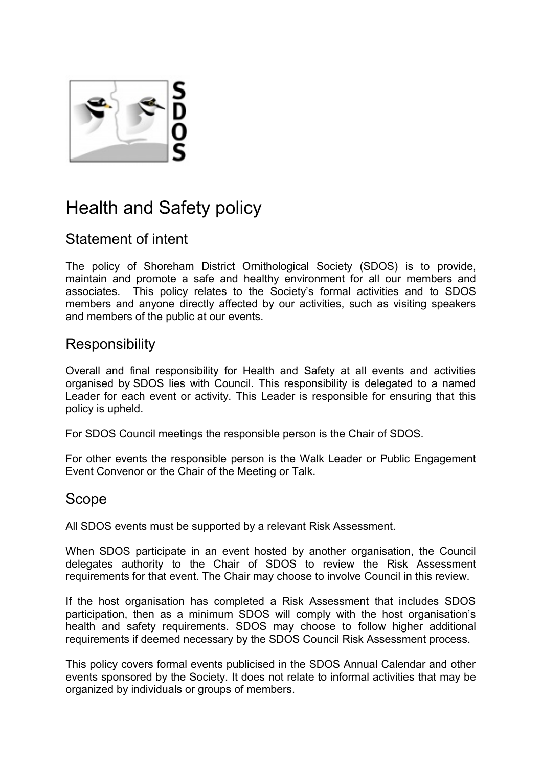

# Health and Safety policy

# Statement of intent

The policy of Shoreham District Ornithological Society (SDOS) is to provide, maintain and promote a safe and healthy environment for all our members and associates. This policy relates to the Society's formal activities and to SDOS members and anyone directly affected by our activities, such as visiting speakers and members of the public at our events.

# **Responsibility**

Overall and final responsibility for Health and Safety at all events and activities organised by SDOS lies with Council. This responsibility is delegated to a named Leader for each event or activity. This Leader is responsible for ensuring that this policy is upheld.

For SDOS Council meetings the responsible person is the Chair of SDOS.

For other events the responsible person is the Walk Leader or Public Engagement Event Convenor or the Chair of the Meeting or Talk.

## Scope

All SDOS events must be supported by a relevant Risk Assessment.

When SDOS participate in an event hosted by another organisation, the Council delegates authority to the Chair of SDOS to review the Risk Assessment requirements for that event. The Chair may choose to involve Council in this review.

If the host organisation has completed a Risk Assessment that includes SDOS participation, then as a minimum SDOS will comply with the host organisation's health and safety requirements. SDOS may choose to follow higher additional requirements if deemed necessary by the SDOS Council Risk Assessment process.

This policy covers formal events publicised in the SDOS Annual Calendar and other events sponsored by the Society. It does not relate to informal activities that may be organized by individuals or groups of members.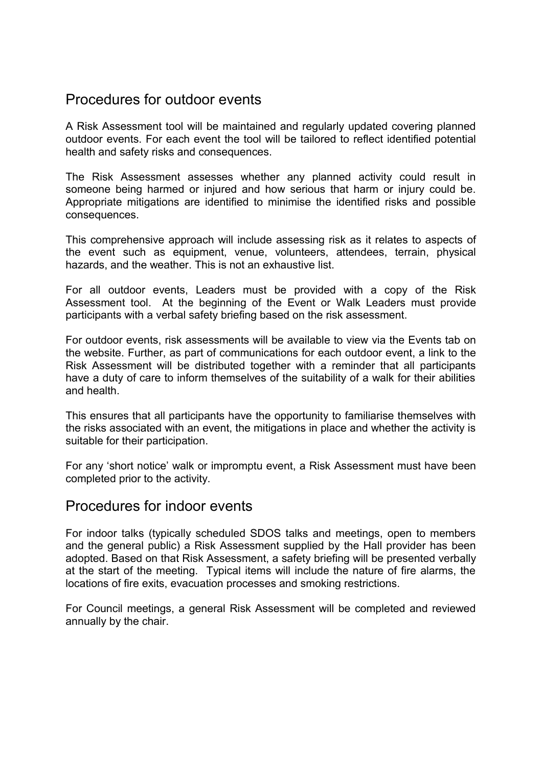## Procedures for outdoor events

A Risk Assessment tool will be maintained and regularly updated covering planned outdoor events. For each event the tool will be tailored to reflect identified potential health and safety risks and consequences.

The Risk Assessment assesses whether any planned activity could result in someone being harmed or injured and how serious that harm or injury could be. Appropriate mitigations are identified to minimise the identified risks and possible consequences.

This comprehensive approach will include assessing risk as it relates to aspects of the event such as equipment, venue, volunteers, attendees, terrain, physical hazards, and the weather. This is not an exhaustive list.

For all outdoor events, Leaders must be provided with a copy of the Risk Assessment tool. At the beginning of the Event or Walk Leaders must provide participants with a verbal safety briefing based on the risk assessment.

For outdoor events, risk assessments will be available to view via the Events tab on the website. Further, as part of communications for each outdoor event, a link to the Risk Assessment will be distributed together with a reminder that all participants have a duty of care to inform themselves of the suitability of a walk for their abilities and health.

This ensures that all participants have the opportunity to familiarise themselves with the risks associated with an event, the mitigations in place and whether the activity is suitable for their participation.

For any 'short notice' walk or impromptu event, a Risk Assessment must have been completed prior to the activity.

#### Procedures for indoor events

For indoor talks (typically scheduled SDOS talks and meetings, open to members and the general public) a Risk Assessment supplied by the Hall provider has been adopted. Based on that Risk Assessment, a safety briefing will be presented verbally at the start of the meeting. Typical items will include the nature of fire alarms, the locations of fire exits, evacuation processes and smoking restrictions.

For Council meetings, a general Risk Assessment will be completed and reviewed annually by the chair.